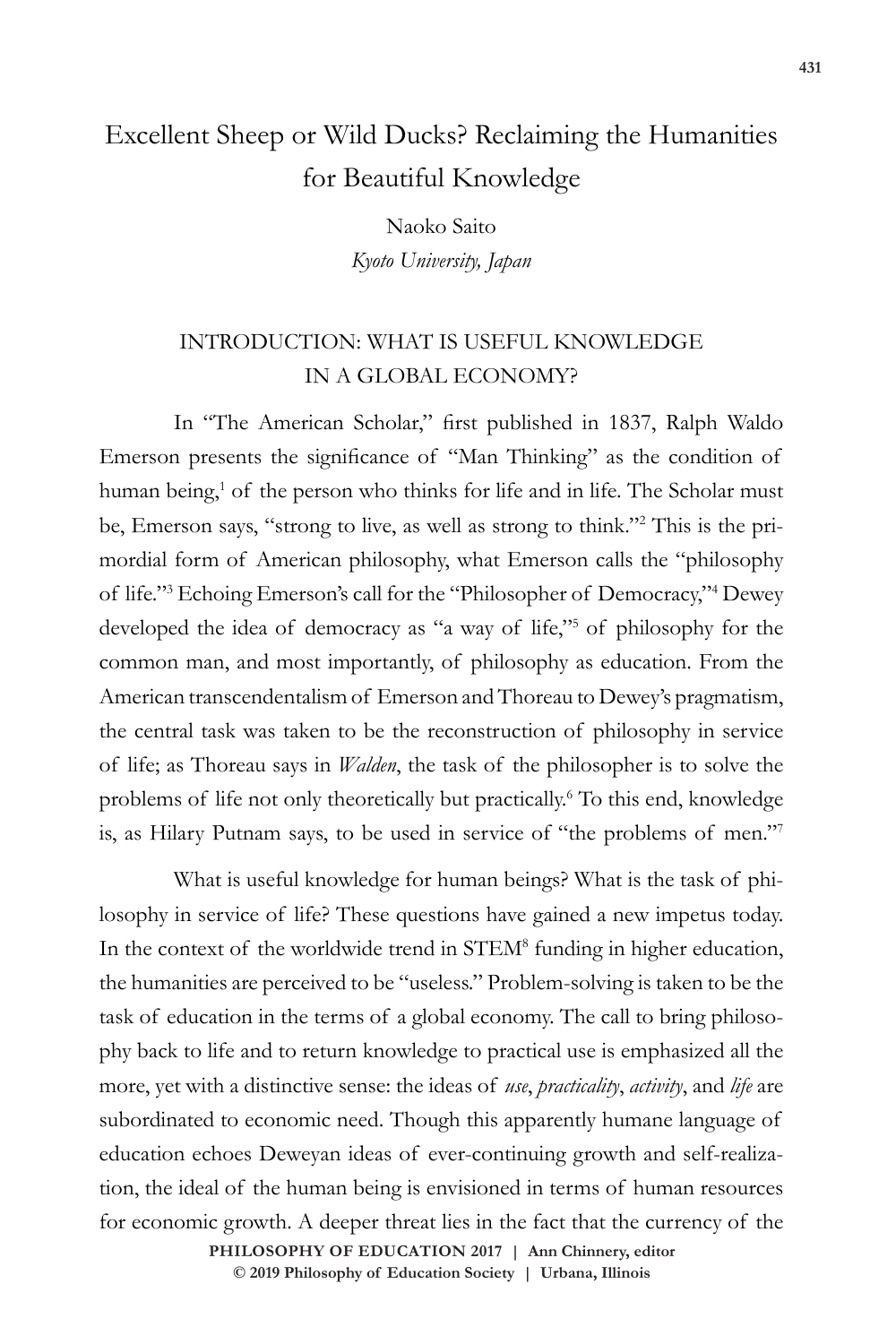# Excellent Sheep or Wild Ducks? Reclaiming the Humanities for Beautiful Knowledge

Naoko Saito *Kyoto University, Japan*

### INTRODUCTION: WHAT IS USEFUL KNOWLEDGE IN A GLOBAL ECONOMY?

In "The American Scholar," first published in 1837, Ralph Waldo Emerson presents the significance of "Man Thinking" as the condition of human being,<sup>1</sup> of the person who thinks for life and in life. The Scholar must be, Emerson says, "strong to live, as well as strong to think."<sup>2</sup> This is the primordial form of American philosophy, what Emerson calls the "philosophy of life."<sup>3</sup> Echoing Emerson's call for the "Philosopher of Democracy,"<sup>4</sup> Dewey developed the idea of democracy as "a way of life,"<sup>5</sup> of philosophy for the common man, and most importantly, of philosophy as education. From the American transcendentalism of Emerson and Thoreau to Dewey's pragmatism, the central task was taken to be the reconstruction of philosophy in service of life; as Thoreau says in *Walden*, the task of the philosopher is to solve the problems of life not only theoretically but practically.<sup>6</sup> To this end, knowledge is, as Hilary Putnam says, to be used in service of "the problems of men."7

What is useful knowledge for human beings? What is the task of philosophy in service of life? These questions have gained a new impetus today. In the context of the worldwide trend in STEM<sup>8</sup> funding in higher education, the humanities are perceived to be "useless." Problem-solving is taken to be the task of education in the terms of a global economy. The call to bring philosophy back to life and to return knowledge to practical use is emphasized all the more, yet with a distinctive sense: the ideas of *use*, *practicality*, *activity*, and *life* are subordinated to economic need. Though this apparently humane language of education echoes Deweyan ideas of ever-continuing growth and self-realization, the ideal of the human being is envisioned in terms of human resources for economic growth. A deeper threat lies in the fact that the currency of the

> **doi: 10.47925/73.431 PHILOSOPHY OF EDUCATION 2017 | Ann Chinnery, editor © 2019 Philosophy of Education Society | Urbana, Illinois**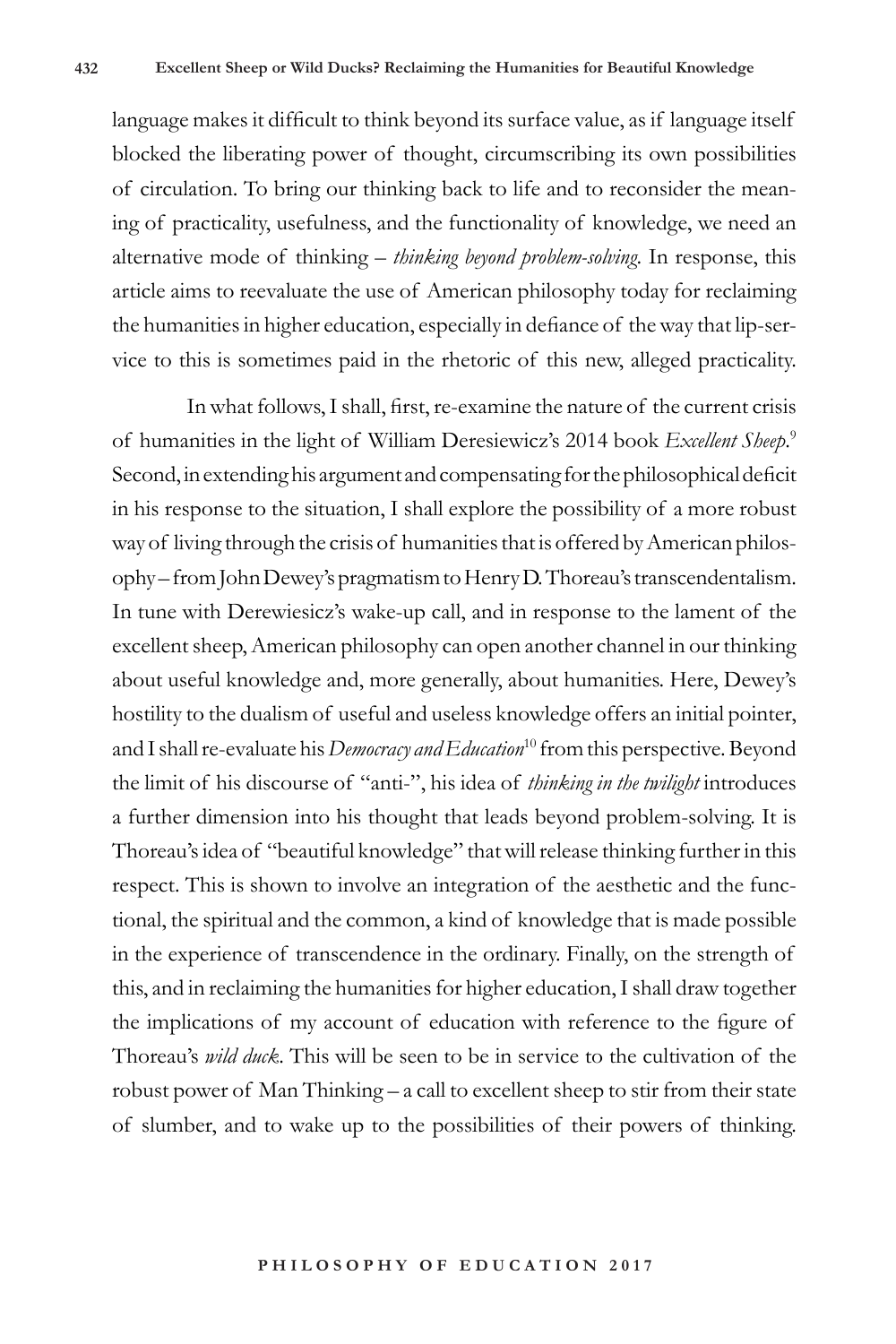language makes it difficult to think beyond its surface value, as if language itself blocked the liberating power of thought, circumscribing its own possibilities of circulation. To bring our thinking back to life and to reconsider the meaning of practicality, usefulness, and the functionality of knowledge, we need an alternative mode of thinking – *thinking beyond problem-solving*. In response, this article aims to reevaluate the use of American philosophy today for reclaiming the humanities in higher education, especially in defiance of the way that lip-service to this is sometimes paid in the rhetoric of this new, alleged practicality.

In what follows, I shall, first, re-examine the nature of the current crisis of humanities in the light of William Deresiewicz's 2014 book *Excellent Sheep*. 9 Second, in extending his argument and compensating for the philosophical deficit in his response to the situation, I shall explore the possibility of a more robust way of living through the crisis of humanities that is offered by American philosophy – from John Dewey's pragmatism to Henry D. Thoreau's transcendentalism. In tune with Derewiesicz's wake-up call, and in response to the lament of the excellent sheep, American philosophy can open another channel in our thinking about useful knowledge and, more generally, about humanities. Here, Dewey's hostility to the dualism of useful and useless knowledge offers an initial pointer, and I shall re-evaluate his *Democracy and Education*10 from this perspective*.* Beyond the limit of his discourse of "anti-", his idea of *thinking in the twilight* introduces a further dimension into his thought that leads beyond problem-solving. It is Thoreau's idea of "beautiful knowledge" that will release thinking further in this respect. This is shown to involve an integration of the aesthetic and the functional, the spiritual and the common, a kind of knowledge that is made possible in the experience of transcendence in the ordinary. Finally, on the strength of this, and in reclaiming the humanities for higher education, I shall draw together the implications of my account of education with reference to the figure of Thoreau's *wild duck*. This will be seen to be in service to the cultivation of the robust power of Man Thinking – a call to excellent sheep to stir from their state of slumber, and to wake up to the possibilities of their powers of thinking.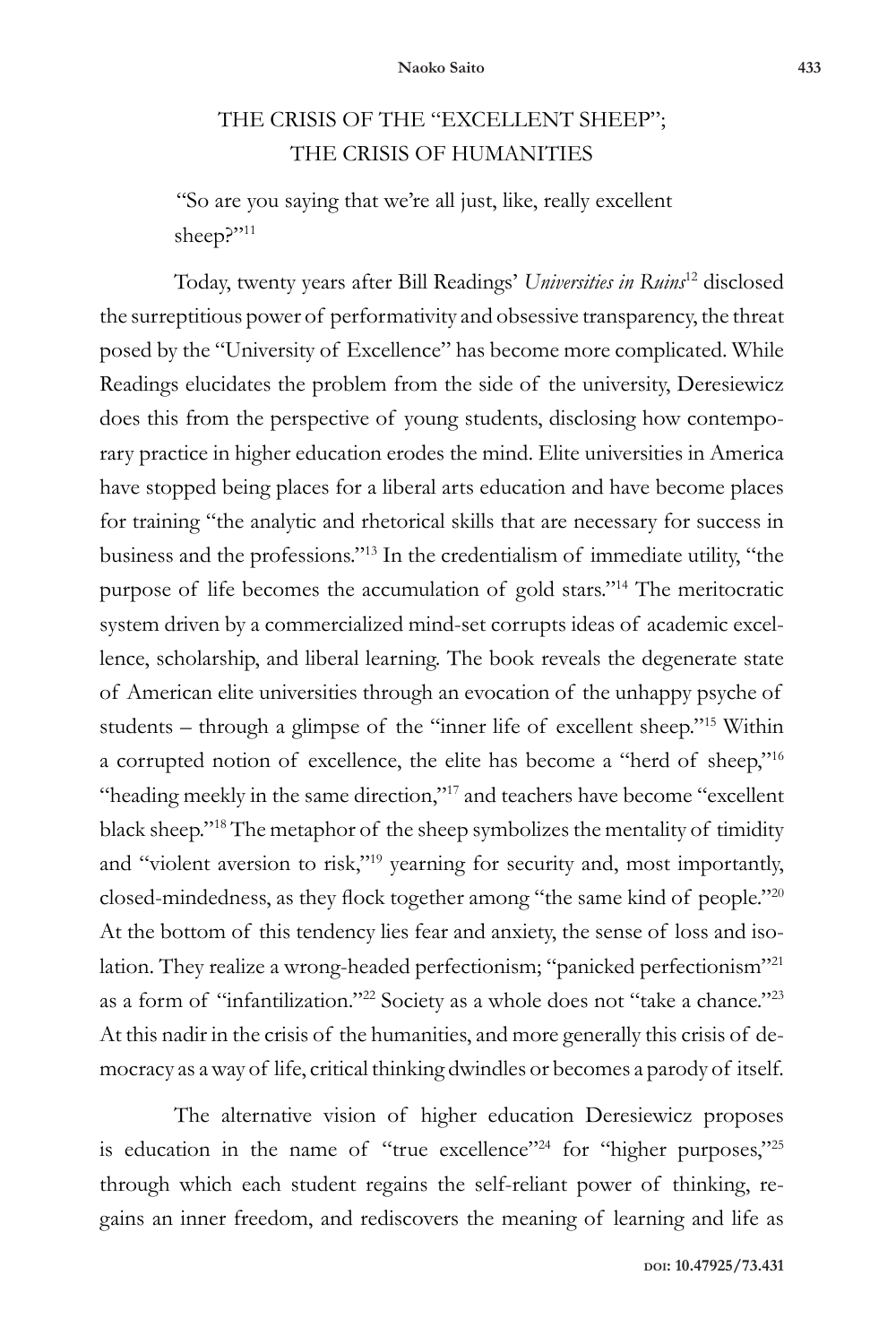## THE CRISIS OF THE "EXCELLENT SHEEP"; THE CRISIS OF HUMANITIES

"So are you saying that we're all just, like, really excellent sheep?"<sup>11</sup>

Today, twenty years after Bill Readings' *Universities in Ruins*<sup>12</sup> disclosed the surreptitious power of performativity and obsessive transparency, the threat posed by the "University of Excellence" has become more complicated. While Readings elucidates the problem from the side of the university, Deresiewicz does this from the perspective of young students, disclosing how contemporary practice in higher education erodes the mind. Elite universities in America have stopped being places for a liberal arts education and have become places for training "the analytic and rhetorical skills that are necessary for success in business and the professions."13 In the credentialism of immediate utility, "the purpose of life becomes the accumulation of gold stars."14 The meritocratic system driven by a commercialized mind-set corrupts ideas of academic excellence, scholarship, and liberal learning. The book reveals the degenerate state of American elite universities through an evocation of the unhappy psyche of students – through a glimpse of the "inner life of excellent sheep."15 Within a corrupted notion of excellence, the elite has become a "herd of sheep,"16 "heading meekly in the same direction,"<sup>17</sup> and teachers have become "excellent black sheep."18 The metaphor of the sheep symbolizes the mentality of timidity and "violent aversion to risk,"19 yearning for security and, most importantly, closed-mindedness, as they flock together among "the same kind of people."<sup>20</sup> At the bottom of this tendency lies fear and anxiety, the sense of loss and isolation. They realize a wrong-headed perfectionism; "panicked perfectionism"21 as a form of "infantilization."<sup>22</sup> Society as a whole does not "take a chance."23 At this nadir in the crisis of the humanities, and more generally this crisis of democracy as a way of life, critical thinking dwindles or becomes a parody of itself.

The alternative vision of higher education Deresiewicz proposes is education in the name of "true excellence"<sup>24</sup> for "higher purposes,"<sup>25</sup> through which each student regains the self-reliant power of thinking, regains an inner freedom, and rediscovers the meaning of learning and life as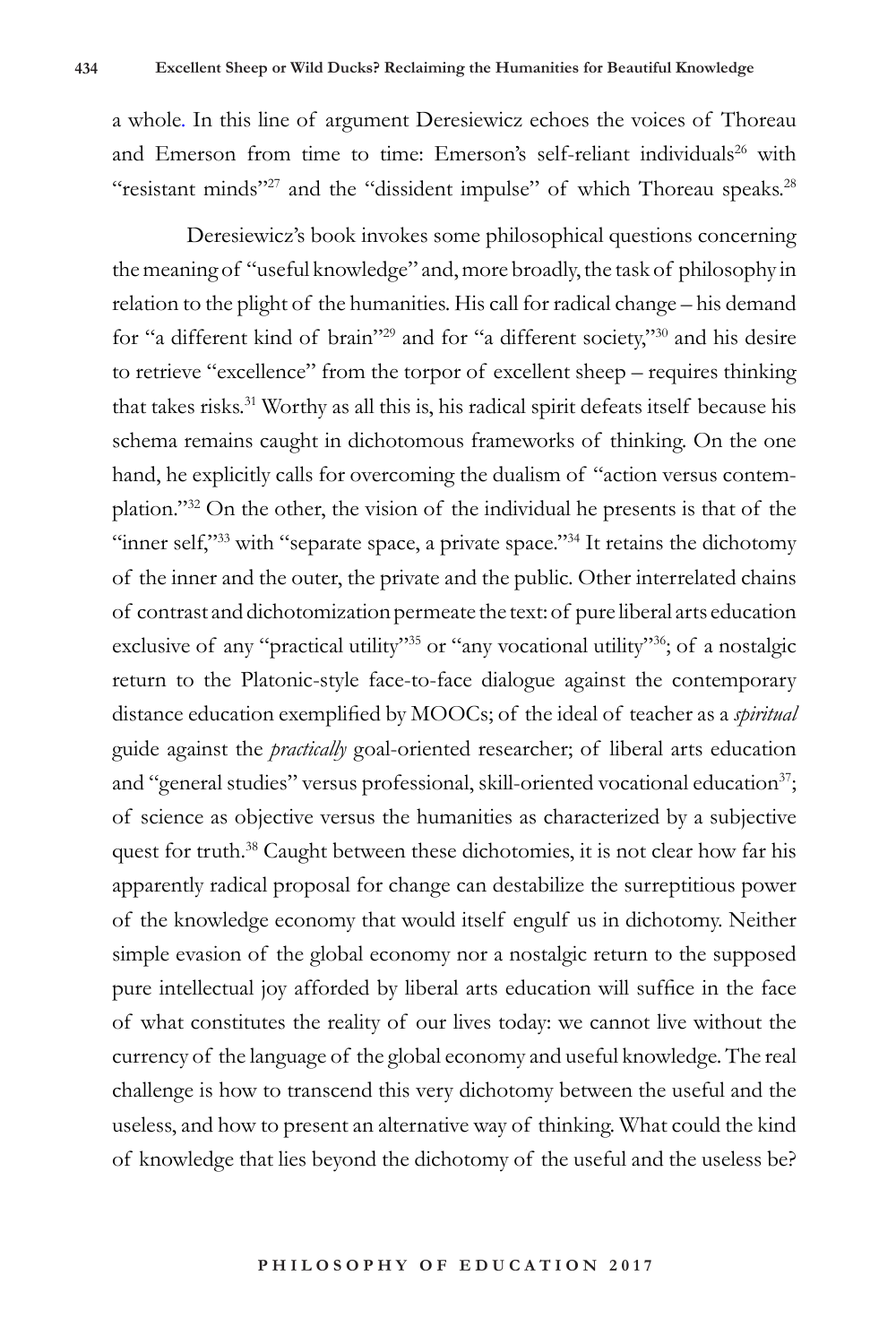a whole. In this line of argument Deresiewicz echoes the voices of Thoreau and Emerson from time to time: Emerson's self-reliant individuals<sup>26</sup> with "resistant minds"<sup>27</sup> and the "dissident impulse" of which Thoreau speaks.<sup>28</sup>

Deresiewicz's book invokes some philosophical questions concerning the meaning of "useful knowledge" and, more broadly, the task of philosophy in relation to the plight of the humanities. His call for radical change – his demand for "a different kind of brain"<sup>29</sup> and for "a different society,"30 and his desire to retrieve "excellence" from the torpor of excellent sheep – requires thinking that takes risks.31 Worthy as all this is, his radical spirit defeats itself because his schema remains caught in dichotomous frameworks of thinking. On the one hand, he explicitly calls for overcoming the dualism of "action versus contemplation."32 On the other, the vision of the individual he presents is that of the "inner self,"33 with "separate space, a private space."34 It retains the dichotomy of the inner and the outer, the private and the public. Other interrelated chains of contrast and dichotomization permeate the text: of pure liberal arts education exclusive of any "practical utility"<sup>35</sup> or "any vocational utility"<sup>36</sup>; of a nostalgic return to the Platonic-style face-to-face dialogue against the contemporary distance education exemplified by MOOCs; of the ideal of teacher as a *spiritual* guide against the *practically* goal-oriented researcher; of liberal arts education and "general studies" versus professional, skill-oriented vocational education<sup>37</sup>; of science as objective versus the humanities as characterized by a subjective quest for truth.<sup>38</sup> Caught between these dichotomies, it is not clear how far his apparently radical proposal for change can destabilize the surreptitious power of the knowledge economy that would itself engulf us in dichotomy. Neither simple evasion of the global economy nor a nostalgic return to the supposed pure intellectual joy afforded by liberal arts education will suffice in the face of what constitutes the reality of our lives today: we cannot live without the currency of the language of the global economy and useful knowledge. The real challenge is how to transcend this very dichotomy between the useful and the useless, and how to present an alternative way of thinking. What could the kind of knowledge that lies beyond the dichotomy of the useful and the useless be?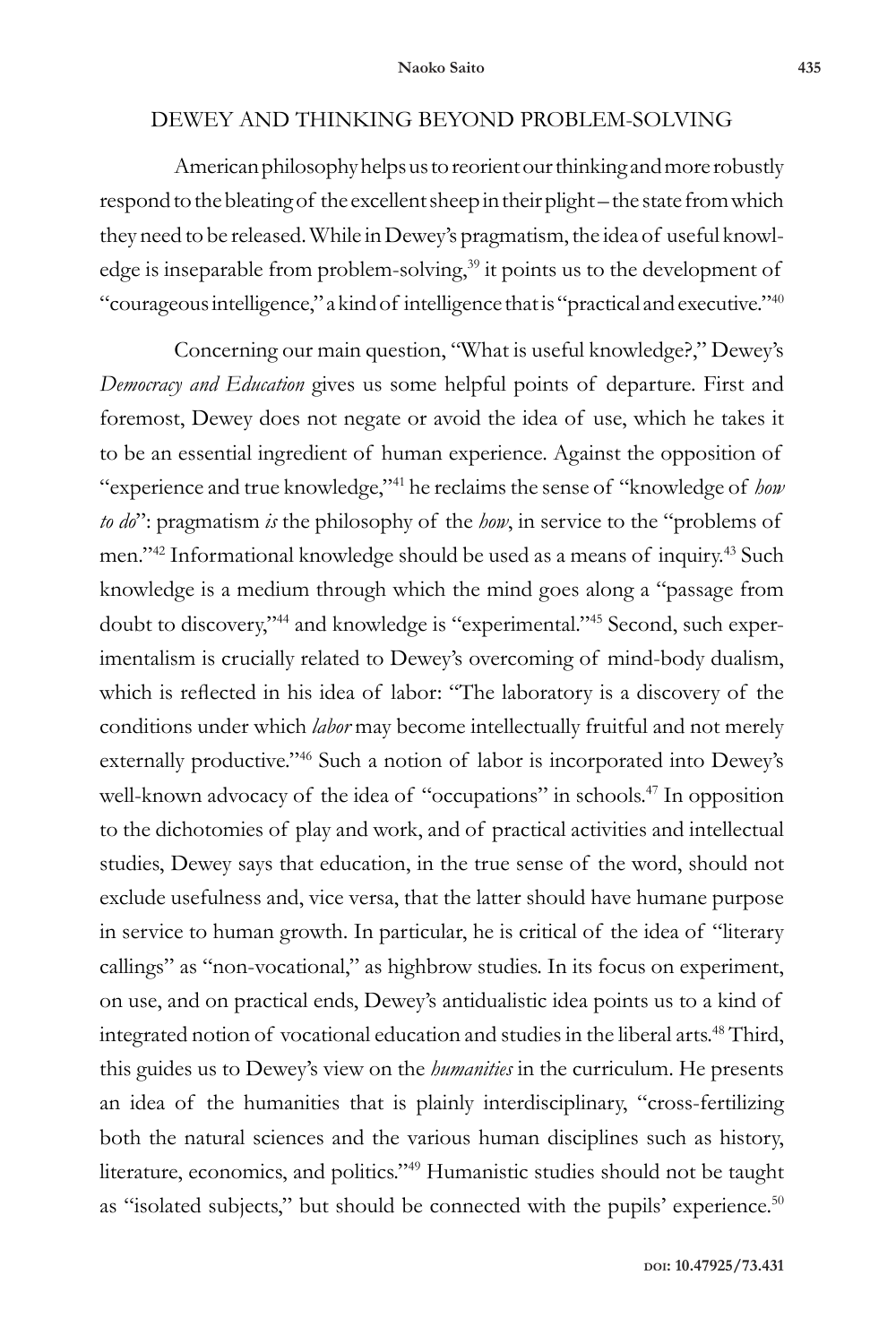### DEWEY AND THINKING BEYOND PROBLEM-SOLVING

American philosophy helps us to reorient our thinking and more robustly respond to the bleating of the excellent sheep in their plight – the state from which they need to be released. While in Dewey's pragmatism, the idea of useful knowledge is inseparable from problem-solving,<sup>39</sup> it points us to the development of "courageous intelligence," a kind of intelligence that is "practical and executive."<sup>40</sup>

Concerning our main question, "What is useful knowledge?," Dewey's *Democracy and Education* gives us some helpful points of departure. First and foremost, Dewey does not negate or avoid the idea of use, which he takes it to be an essential ingredient of human experience. Against the opposition of "experience and true knowledge,"<sup>41</sup> he reclaims the sense of "knowledge of *how to do*": pragmatism *is* the philosophy of the *how*, in service to the "problems of men."42 Informational knowledge should be used as a means of inquiry.43 Such knowledge is a medium through which the mind goes along a "passage from doubt to discovery,"44 and knowledge is "experimental."45 Second, such experimentalism is crucially related to Dewey's overcoming of mind-body dualism, which is reflected in his idea of labor: "The laboratory is a discovery of the conditions under which *labor* may become intellectually fruitful and not merely externally productive."<sup>46</sup> Such a notion of labor is incorporated into Dewey's well-known advocacy of the idea of "occupations" in schools.<sup>47</sup> In opposition to the dichotomies of play and work, and of practical activities and intellectual studies, Dewey says that education, in the true sense of the word, should not exclude usefulness and, vice versa, that the latter should have humane purpose in service to human growth. In particular, he is critical of the idea of "literary callings" as "non-vocational," as highbrow studies. In its focus on experiment, on use, and on practical ends, Dewey's antidualistic idea points us to a kind of integrated notion of vocational education and studies in the liberal arts.<sup>48</sup> Third, this guides us to Dewey's view on the *humanities* in the curriculum. He presents an idea of the humanities that is plainly interdisciplinary, "cross-fertilizing both the natural sciences and the various human disciplines such as history, literature, economics, and politics."49 Humanistic studies should not be taught as "isolated subjects," but should be connected with the pupils' experience.<sup>50</sup>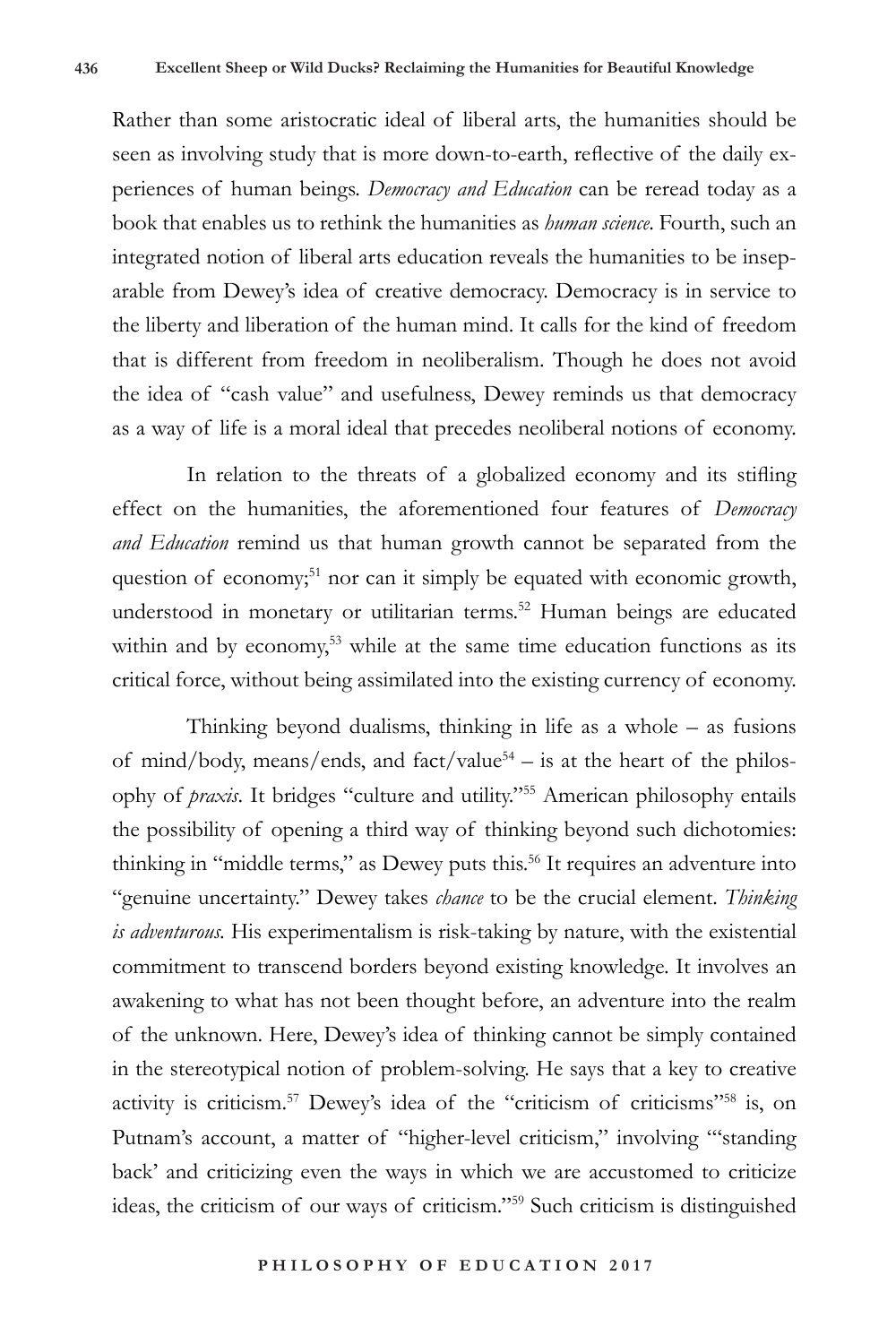Rather than some aristocratic ideal of liberal arts, the humanities should be seen as involving study that is more down-to-earth, reflective of the daily experiences of human beings. *Democracy and Education* can be reread today as a book that enables us to rethink the humanities as *human science*. Fourth, such an integrated notion of liberal arts education reveals the humanities to be inseparable from Dewey's idea of creative democracy. Democracy is in service to the liberty and liberation of the human mind. It calls for the kind of freedom that is different from freedom in neoliberalism. Though he does not avoid the idea of "cash value" and usefulness, Dewey reminds us that democracy as a way of life is a moral ideal that precedes neoliberal notions of economy.

In relation to the threats of a globalized economy and its stifling effect on the humanities, the aforementioned four features of *Democracy and Education* remind us that human growth cannot be separated from the question of economy;<sup>51</sup> nor can it simply be equated with economic growth, understood in monetary or utilitarian terms.<sup>52</sup> Human beings are educated within and by economy,<sup>53</sup> while at the same time education functions as its critical force, without being assimilated into the existing currency of economy.

Thinking beyond dualisms, thinking in life as a whole – as fusions of mind/body, means/ends, and fact/value<sup>54</sup> – is at the heart of the philosophy of *praxis*. It bridges "culture and utility."<sup>55</sup> American philosophy entails the possibility of opening a third way of thinking beyond such dichotomies: thinking in "middle terms," as Dewey puts this.<sup>56</sup> It requires an adventure into "genuine uncertainty." Dewey takes *chance* to be the crucial element. *Thinking is adventurous.* His experimentalism is risk-taking by nature, with the existential commitment to transcend borders beyond existing knowledge. It involves an awakening to what has not been thought before, an adventure into the realm of the unknown. Here, Dewey's idea of thinking cannot be simply contained in the stereotypical notion of problem-solving. He says that a key to creative activity is criticism.57 Dewey's idea of the "criticism of criticisms"58 is, on Putnam's account, a matter of "higher-level criticism," involving ""standing back' and criticizing even the ways in which we are accustomed to criticize ideas, the criticism of our ways of criticism."59 Such criticism is distinguished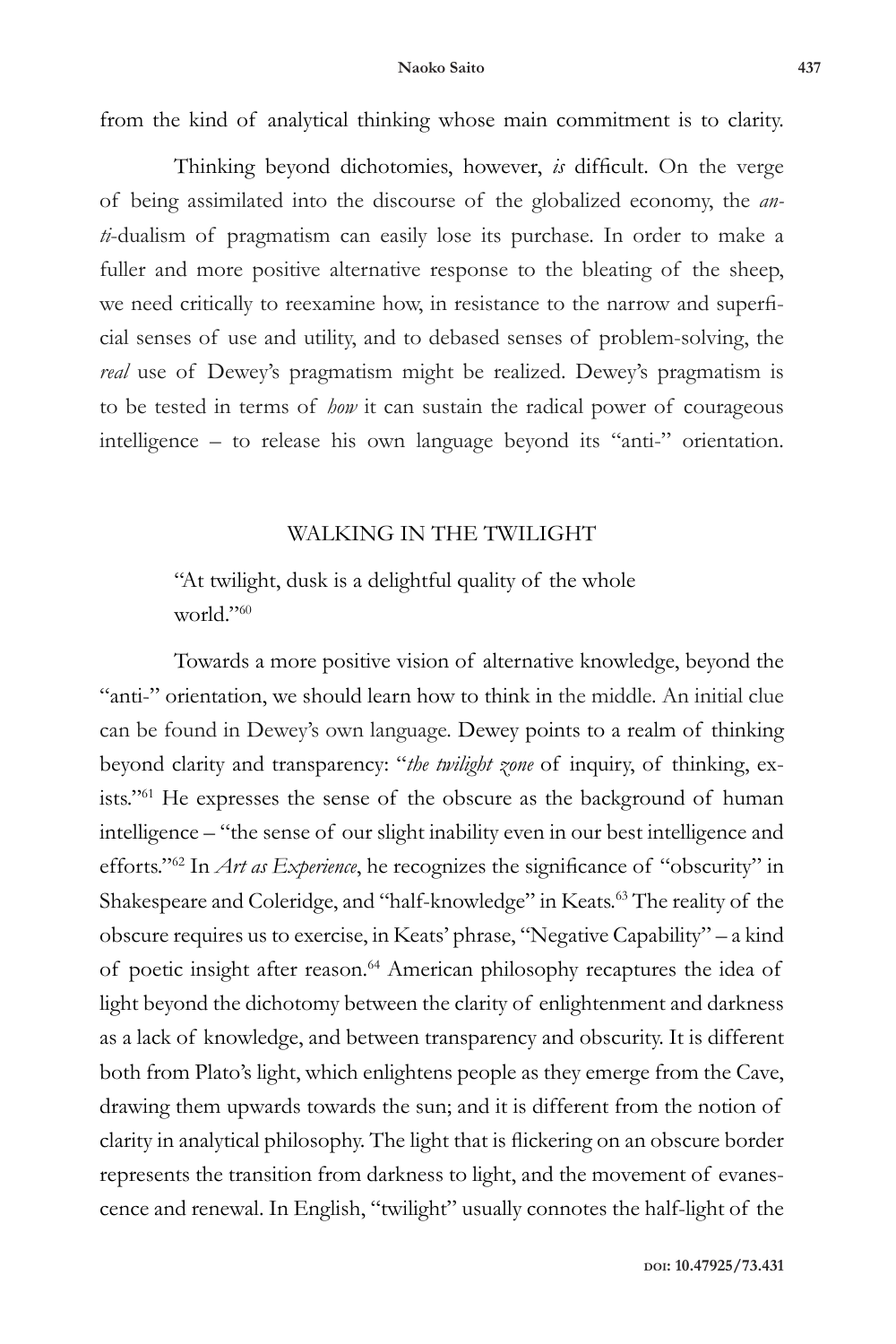from the kind of analytical thinking whose main commitment is to clarity.

Thinking beyond dichotomies, however, *is* difficult. On the verge of being assimilated into the discourse of the globalized economy, the *anti*-dualism of pragmatism can easily lose its purchase. In order to make a fuller and more positive alternative response to the bleating of the sheep, we need critically to reexamine how, in resistance to the narrow and superficial senses of use and utility, and to debased senses of problem-solving, the *real* use of Dewey's pragmatism might be realized. Dewey's pragmatism is to be tested in terms of *how* it can sustain the radical power of courageous intelligence – to release his own language beyond its "anti-" orientation.

### WALKING IN THE TWILIGHT

"At twilight, dusk is a delightful quality of the whole world."60

Towards a more positive vision of alternative knowledge, beyond the "anti-" orientation, we should learn how to think in the middle. An initial clue can be found in Dewey's own language. Dewey points to a realm of thinking beyond clarity and transparency: "*the twilight zone* of inquiry, of thinking, exists."61 He expresses the sense of the obscure as the background of human intelligence – "the sense of our slight inability even in our best intelligence and efforts."62 In *Art as Experience*, he recognizes the significance of "obscurity" in Shakespeare and Coleridge, and "half-knowledge" in Keats.<sup>63</sup> The reality of the obscure requires us to exercise, in Keats' phrase, "Negative Capability" – a kind of poetic insight after reason.<sup>64</sup> American philosophy recaptures the idea of light beyond the dichotomy between the clarity of enlightenment and darkness as a lack of knowledge, and between transparency and obscurity. It is different both from Plato's light, which enlightens people as they emerge from the Cave, drawing them upwards towards the sun; and it is different from the notion of clarity in analytical philosophy. The light that is flickering on an obscure border represents the transition from darkness to light, and the movement of evanescence and renewal. In English, "twilight" usually connotes the half-light of the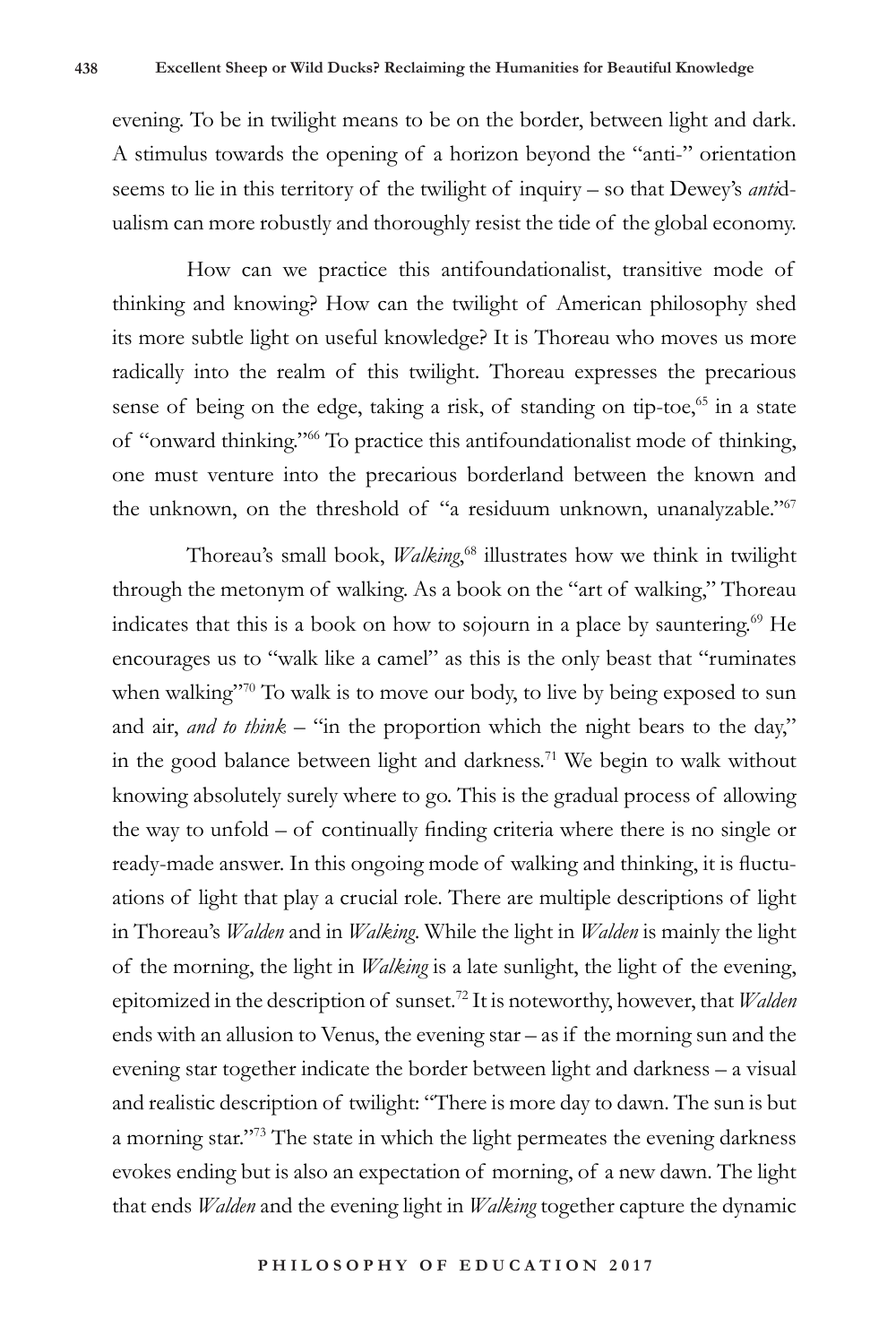evening. To be in twilight means to be on the border, between light and dark. A stimulus towards the opening of a horizon beyond the "anti-" orientation seems to lie in this territory of the twilight of inquiry – so that Dewey's *anti*dualism can more robustly and thoroughly resist the tide of the global economy.

How can we practice this antifoundationalist, transitive mode of thinking and knowing? How can the twilight of American philosophy shed its more subtle light on useful knowledge? It is Thoreau who moves us more radically into the realm of this twilight. Thoreau expresses the precarious sense of being on the edge, taking a risk, of standing on tip-toe, $65$  in a state of "onward thinking."66 To practice this antifoundationalist mode of thinking, one must venture into the precarious borderland between the known and the unknown, on the threshold of "a residuum unknown, unanalyzable."<sup>67</sup>

Thoreau's small book, *Walking*, <sup>68</sup> illustrates how we think in twilight through the metonym of walking. As a book on the "art of walking," Thoreau indicates that this is a book on how to sojourn in a place by sauntering.69 He encourages us to "walk like a camel" as this is the only beast that "ruminates when walking"<sup>70</sup> To walk is to move our body, to live by being exposed to sun and air, *and to think* – "in the proportion which the night bears to the day," in the good balance between light and darkness.<sup>71</sup> We begin to walk without knowing absolutely surely where to go. This is the gradual process of allowing the way to unfold – of continually finding criteria where there is no single or ready-made answer. In this ongoing mode of walking and thinking, it is fluctuations of light that play a crucial role. There are multiple descriptions of light in Thoreau's *Walden* and in *Walking*. While the light in *Walden* is mainly the light of the morning, the light in *Walking* is a late sunlight, the light of the evening, epitomized in the description of sunset.72 It is noteworthy, however, that *Walden* ends with an allusion to Venus, the evening star – as if the morning sun and the evening star together indicate the border between light and darkness – a visual and realistic description of twilight: "There is more day to dawn. The sun is but a morning star."73 The state in which the light permeates the evening darkness evokes ending but is also an expectation of morning, of a new dawn. The light that ends *Walden* and the evening light in *Walking* together capture the dynamic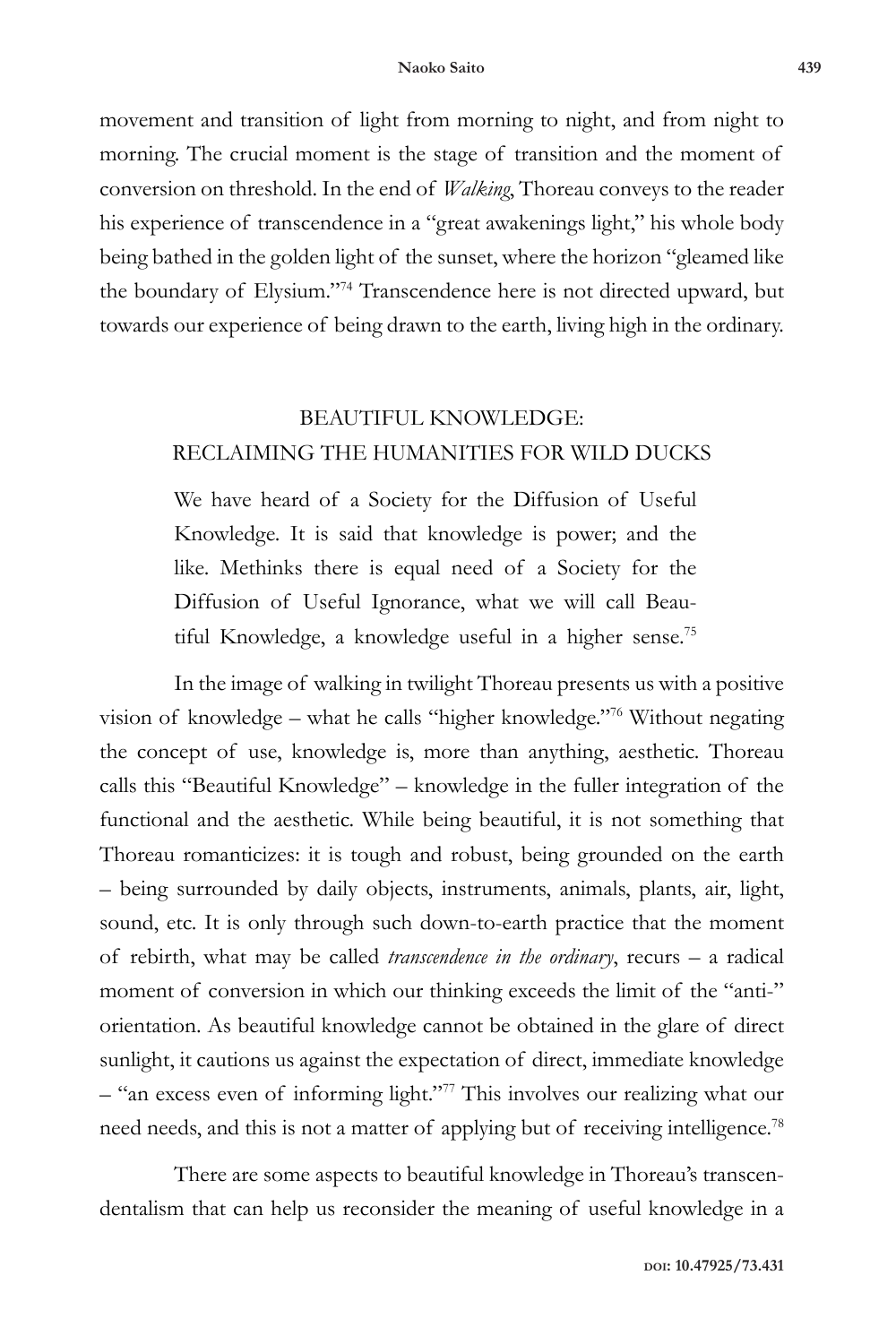movement and transition of light from morning to night, and from night to morning. The crucial moment is the stage of transition and the moment of conversion on threshold. In the end of *Walking*, Thoreau conveys to the reader his experience of transcendence in a "great awakenings light," his whole body being bathed in the golden light of the sunset, where the horizon "gleamed like the boundary of Elysium."74 Transcendence here is not directed upward, but towards our experience of being drawn to the earth, living high in the ordinary.

### BEAUTIFUL KNOWLEDGE: RECLAIMING THE HUMANITIES FOR WILD DUCKS

We have heard of a Society for the Diffusion of Useful Knowledge. It is said that knowledge is power; and the like. Methinks there is equal need of a Society for the Diffusion of Useful Ignorance, what we will call Beautiful Knowledge, a knowledge useful in a higher sense.<sup>75</sup>

In the image of walking in twilight Thoreau presents us with a positive vision of knowledge – what he calls "higher knowledge."76 Without negating the concept of use, knowledge is, more than anything, aesthetic. Thoreau calls this "Beautiful Knowledge" – knowledge in the fuller integration of the functional and the aesthetic. While being beautiful, it is not something that Thoreau romanticizes: it is tough and robust, being grounded on the earth – being surrounded by daily objects, instruments, animals, plants, air, light, sound, etc. It is only through such down-to-earth practice that the moment of rebirth, what may be called *transcendence in the ordinary*, recurs – a radical moment of conversion in which our thinking exceeds the limit of the "anti-" orientation. As beautiful knowledge cannot be obtained in the glare of direct sunlight, it cautions us against the expectation of direct, immediate knowledge – "an excess even of informing light."77 This involves our realizing what our need needs, and this is not a matter of applying but of receiving intelligence.<sup>78</sup>

There are some aspects to beautiful knowledge in Thoreau's transcendentalism that can help us reconsider the meaning of useful knowledge in a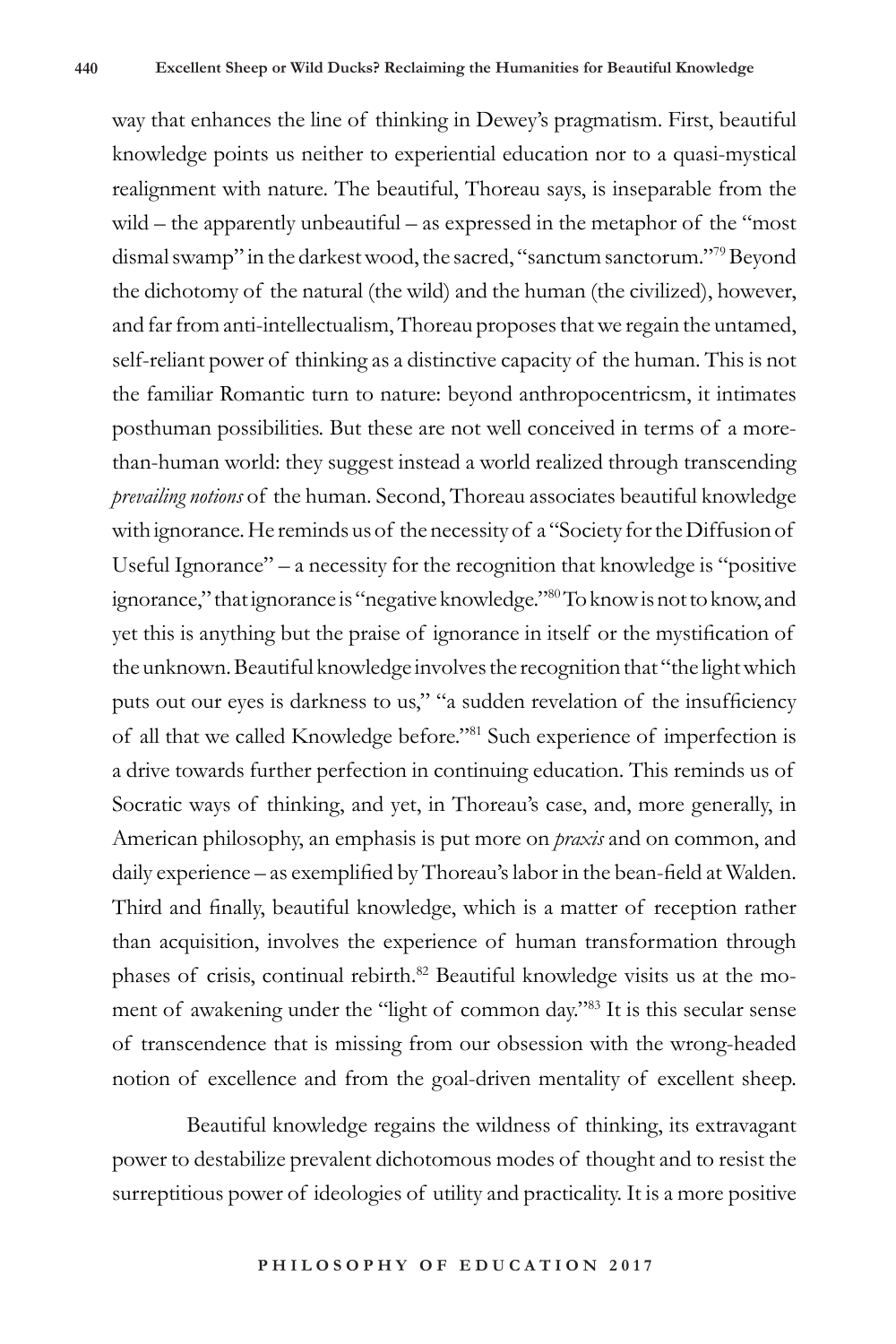way that enhances the line of thinking in Dewey's pragmatism. First, beautiful knowledge points us neither to experiential education nor to a quasi-mystical realignment with nature. The beautiful, Thoreau says, is inseparable from the wild – the apparently unbeautiful – as expressed in the metaphor of the "most dismal swamp" in the darkest wood, the sacred, "sanctum sanctorum."79 Beyond the dichotomy of the natural (the wild) and the human (the civilized), however, and far from anti-intellectualism, Thoreau proposes that we regain the untamed, self-reliant power of thinking as a distinctive capacity of the human. This is not the familiar Romantic turn to nature: beyond anthropocentricsm, it intimates posthuman possibilities. But these are not well conceived in terms of a morethan-human world: they suggest instead a world realized through transcending *prevailing notions* of the human. Second, Thoreau associates beautiful knowledge with ignorance. He reminds us of the necessity of a "Society for the Diffusion of Useful Ignorance" – a necessity for the recognition that knowledge is "positive ignorance," that ignorance is "negative knowledge."80 To know is not to know, and yet this is anything but the praise of ignorance in itself or the mystification of the unknown. Beautiful knowledge involves the recognition that "the light which puts out our eyes is darkness to us," "a sudden revelation of the insufficiency of all that we called Knowledge before."81 Such experience of imperfection is a drive towards further perfection in continuing education. This reminds us of Socratic ways of thinking, and yet, in Thoreau's case, and, more generally, in American philosophy, an emphasis is put more on *praxis* and on common, and daily experience – as exemplified by Thoreau's labor in the bean-field at Walden. Third and finally, beautiful knowledge, which is a matter of reception rather than acquisition, involves the experience of human transformation through phases of crisis, continual rebirth.<sup>82</sup> Beautiful knowledge visits us at the moment of awakening under the "light of common day."83 It is this secular sense of transcendence that is missing from our obsession with the wrong-headed notion of excellence and from the goal-driven mentality of excellent sheep.

Beautiful knowledge regains the wildness of thinking, its extravagant power to destabilize prevalent dichotomous modes of thought and to resist the surreptitious power of ideologies of utility and practicality. It is a more positive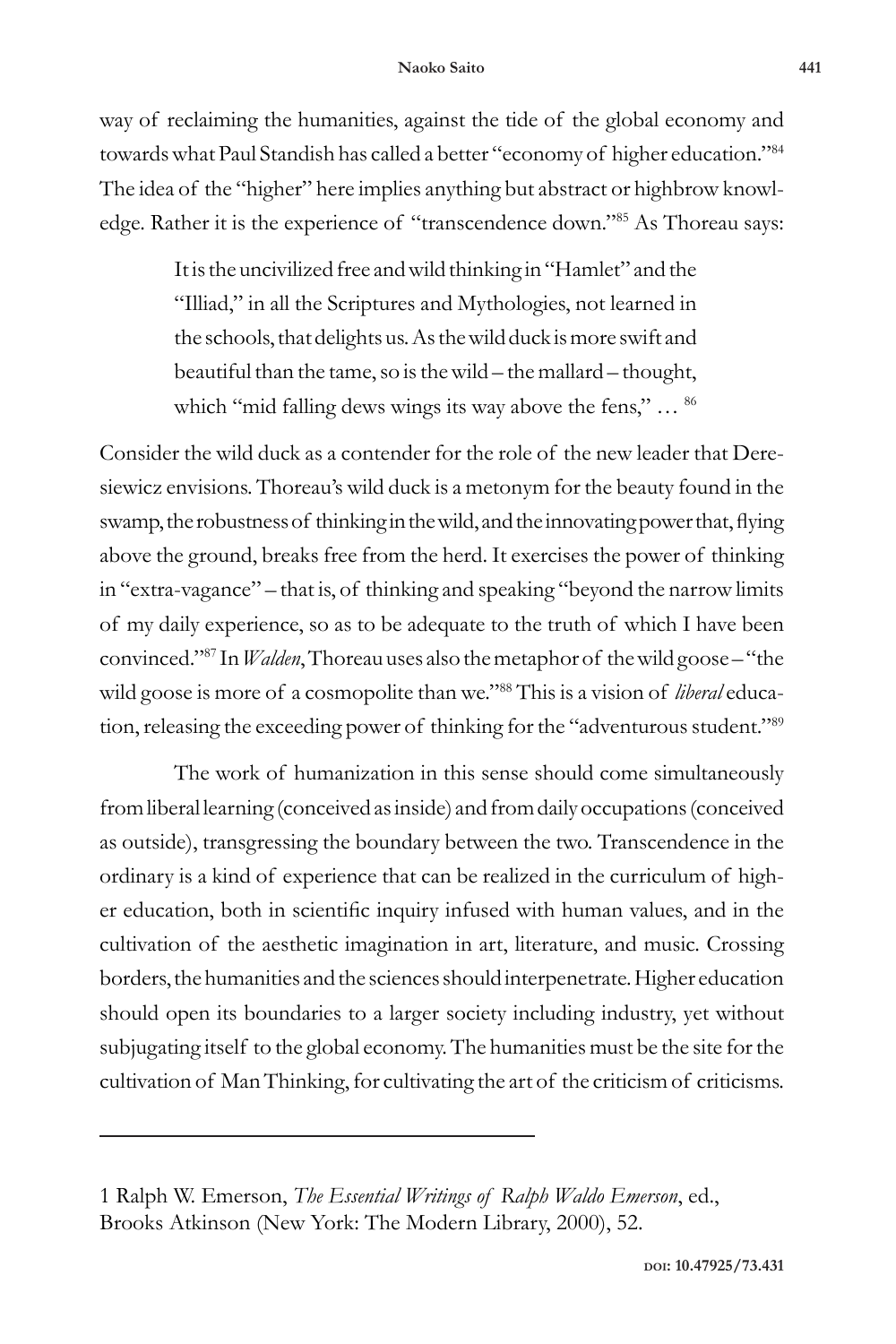#### **Naoko Saito 441**

way of reclaiming the humanities, against the tide of the global economy and towards what Paul Standish has called a better "economy of higher education."84 The idea of the "higher" here implies anything but abstract or highbrow knowledge. Rather it is the experience of "transcendence down."85 As Thoreau says:

> It is the uncivilized free and wild thinking in "Hamlet" and the "Illiad," in all the Scriptures and Mythologies, not learned in the schools, that delights us. As the wild duck is more swift and beautiful than the tame, so is the wild – the mallard – thought, which "mid falling dews wings its way above the fens," ... <sup>86</sup>

Consider the wild duck as a contender for the role of the new leader that Deresiewicz envisions. Thoreau's wild duck is a metonym for the beauty found in the swamp, the robustness of thinking in the wild, and the innovating power that, flying above the ground, breaks free from the herd. It exercises the power of thinking in "extra-vagance" – that is, of thinking and speaking "beyond the narrow limits of my daily experience, so as to be adequate to the truth of which I have been convinced."87 In *Walden*, Thoreau uses also the metaphor of the wild goose – "the wild goose is more of a cosmopolite than we."88 This is a vision of *liberal* education, releasing the exceeding power of thinking for the "adventurous student."<sup>89</sup>

The work of humanization in this sense should come simultaneously from liberal learning (conceived as inside) and from daily occupations (conceived as outside), transgressing the boundary between the two. Transcendence in the ordinary is a kind of experience that can be realized in the curriculum of higher education, both in scientific inquiry infused with human values, and in the cultivation of the aesthetic imagination in art, literature, and music. Crossing borders, the humanities and the sciences should interpenetrate. Higher education should open its boundaries to a larger society including industry, yet without subjugating itself to the global economy. The humanities must be the site for the cultivation of Man Thinking, for cultivating the art of the criticism of criticisms.

<sup>1</sup> Ralph W. Emerson, *The Essential Writings of Ralph Waldo Emerson*, ed., Brooks Atkinson (New York: The Modern Library, 2000), 52.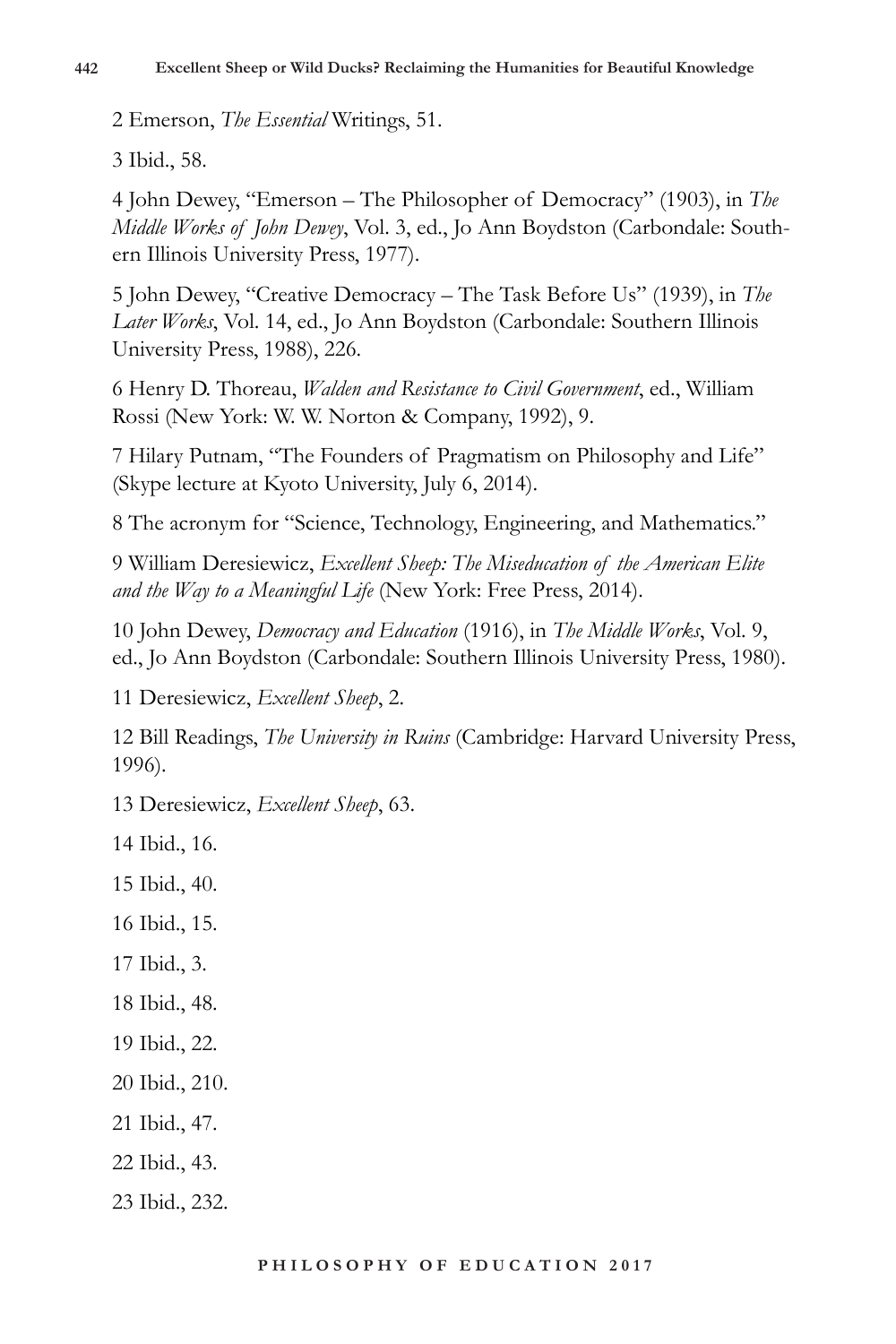2 Emerson, *The Essential* Writings, 51.

3 Ibid., 58.

4 John Dewey, "Emerson – The Philosopher of Democracy" (1903), in *The Middle Works of John Dewey*, Vol. 3, ed., Jo Ann Boydston (Carbondale: Southern Illinois University Press, 1977).

5 John Dewey, "Creative Democracy – The Task Before Us" (1939), in *The Later Works*, Vol. 14, ed., Jo Ann Boydston (Carbondale: Southern Illinois University Press, 1988), 226.

6 Henry D. Thoreau, *Walden and Resistance to Civil Government*, ed., William Rossi (New York: W. W. Norton & Company, 1992), 9.

7 Hilary Putnam, "The Founders of Pragmatism on Philosophy and Life" (Skype lecture at Kyoto University, July 6, 2014).

8 The acronym for "Science, Technology, Engineering, and Mathematics."

9 William Deresiewicz, *Excellent Sheep: The Miseducation of the American Elite and the Way to a Meaningful Life* (New York: Free Press, 2014).

10 John Dewey, *Democracy and Education* (1916), in *The Middle Works*, Vol. 9, ed., Jo Ann Boydston (Carbondale: Southern Illinois University Press, 1980).

11 Deresiewicz, *Excellent Sheep*, 2.

12 Bill Readings, *The University in Ruins* (Cambridge: Harvard University Press, 1996).

13 Deresiewicz, *Excellent Sheep*, 63.

14 Ibid., 16.

15 Ibid., 40.

16 Ibid., 15.

17 Ibid., 3.

18 Ibid., 48.

19 Ibid., 22.

20 Ibid., 210.

21 Ibid., 47.

22 Ibid., 43.

23 Ibid., 232.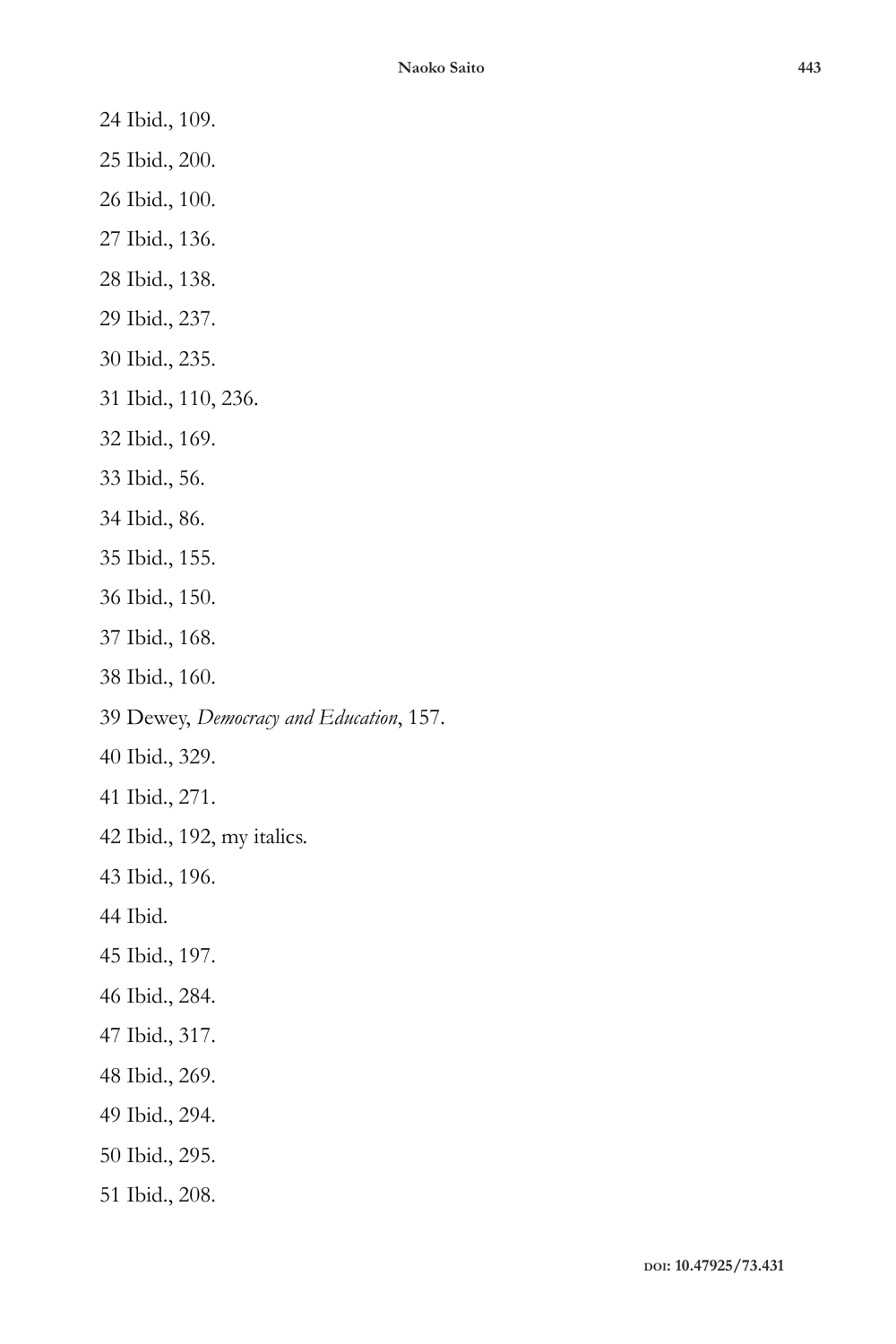- 24 Ibid., 109.
- 25 Ibid., 200.
- 26 Ibid., 100.
- 27 Ibid., 136.
- 28 Ibid., 138.
- 29 Ibid., 237.
- 30 Ibid., 235.
- 31 Ibid., 110, 236.
- 32 Ibid., 169.
- 33 Ibid., 56.
- 34 Ibid., 86.
- 35 Ibid., 155.
- 36 Ibid., 150.
- 37 Ibid., 168.
- 38 Ibid., 160.
- 39 Dewey, *Democracy and Education*, 157.
- 40 Ibid., 329.
- 41 Ibid., 271.
- 42 Ibid., 192, my italics.
- 43 Ibid., 196.
- 44 Ibid.
- 45 Ibid., 197.
- 46 Ibid., 284.
- 47 Ibid., 317.
- 48 Ibid., 269.
- 49 Ibid., 294.
- 50 Ibid., 295.
- 51 Ibid., 208.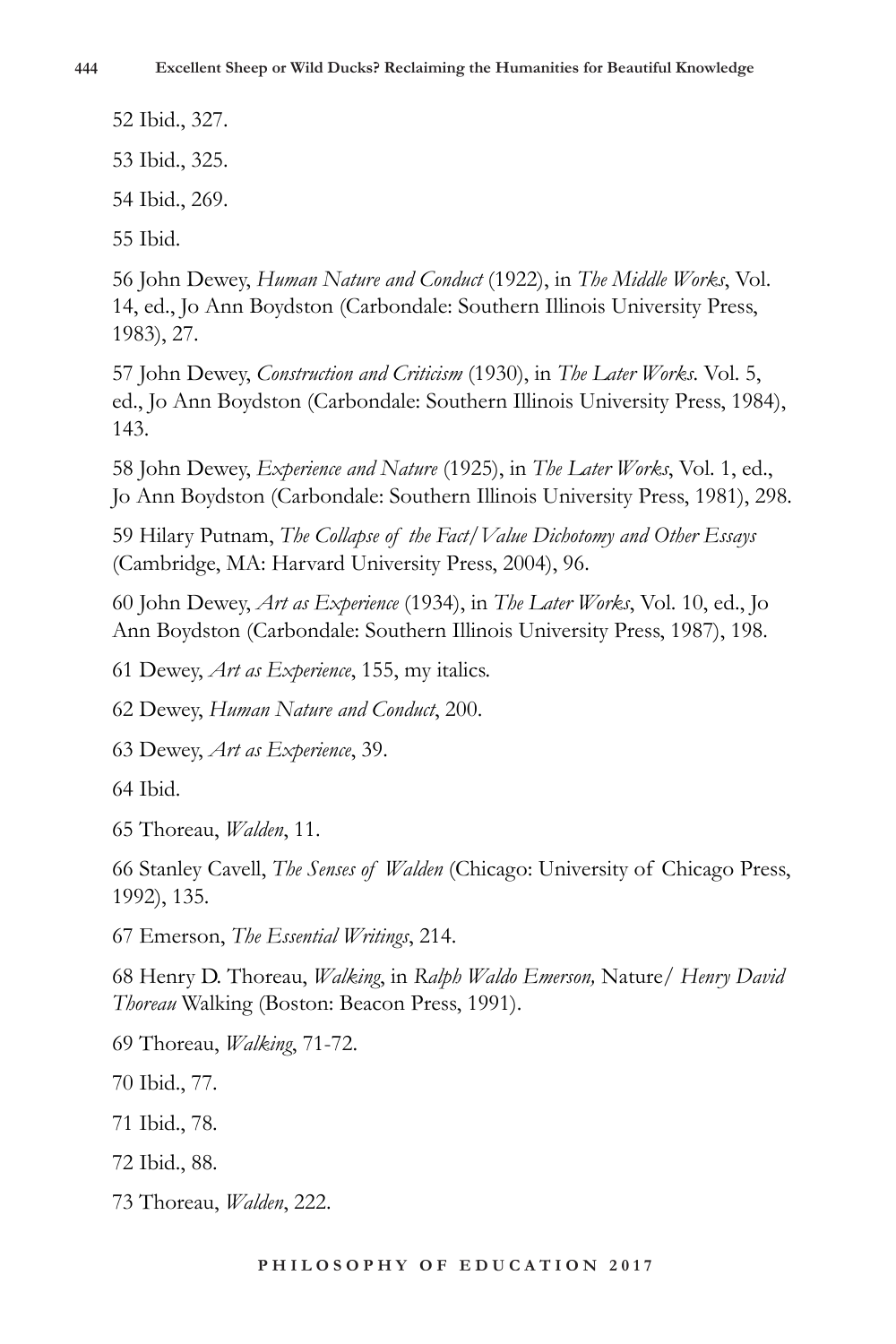52 Ibid., 327. 53 Ibid., 325. 54 Ibid., 269. 55 Ibid.

56 John Dewey, *Human Nature and Conduct* (1922), in *The Middle Works*, Vol. 14, ed., Jo Ann Boydston (Carbondale: Southern Illinois University Press, 1983), 27.

57 John Dewey, *Construction and Criticism* (1930), in *The Later Works*. Vol. 5, ed., Jo Ann Boydston (Carbondale: Southern Illinois University Press, 1984), 143.

58 John Dewey, *Experience and Nature* (1925), in *The Later Works*, Vol. 1, ed., Jo Ann Boydston (Carbondale: Southern Illinois University Press, 1981), 298.

59 Hilary Putnam, *The Collapse of the Fact/Value Dichotomy and Other Essays* (Cambridge, MA: Harvard University Press, 2004), 96.

60 John Dewey, *Art as Experience* (1934), in *The Later Works*, Vol. 10, ed., Jo Ann Boydston (Carbondale: Southern Illinois University Press, 1987), 198.

61 Dewey, *Art as Experience*, 155, my italics.

62 Dewey, *Human Nature and Conduct*, 200.

63 Dewey, *Art as Experience*, 39.

64 Ibid.

65 Thoreau, *Walden*, 11.

66 Stanley Cavell, *The Senses of Walden* (Chicago: University of Chicago Press, 1992), 135.

67 Emerson, *The Essential Writings*, 214.

68 Henry D. Thoreau, *Walking*, in *Ralph Waldo Emerson,* Nature*/ Henry David Thoreau* Walking (Boston: Beacon Press, 1991).

69 Thoreau, *Walking*, 71-72.

70 Ibid., 77.

71 Ibid., 78.

72 Ibid., 88.

73 Thoreau, *Walden*, 222.